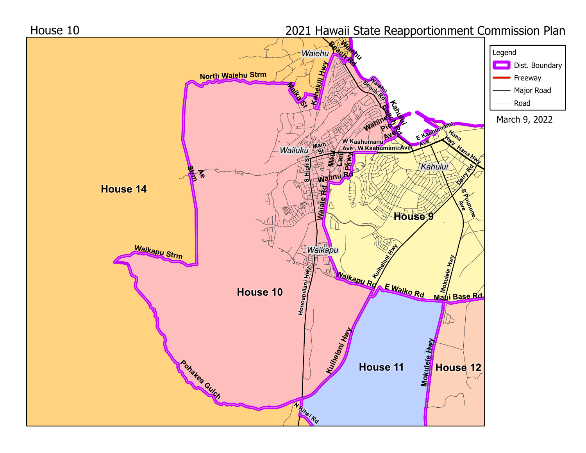